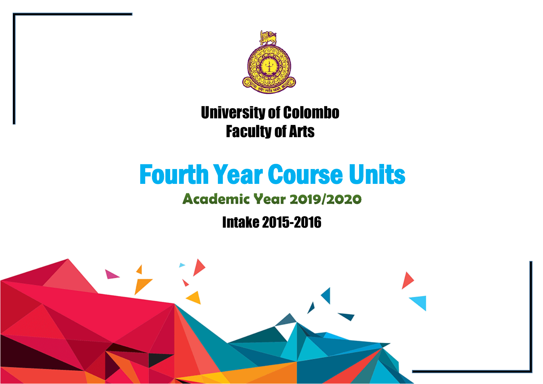

## University of Colombo Faculty of Arts

# Fourth Year Course Units

## **Academic Year 2019/2020**

Intake 2015-2016

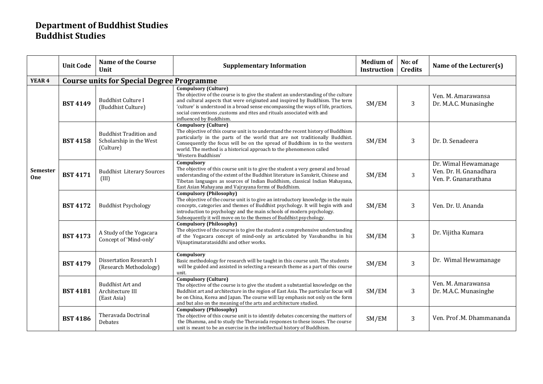#### **Department of Buddhist Studies Buddhist Studies**

|                 | <b>Unit Code</b> | <b>Name of the Course</b><br>Unit                                     | <b>Supplementary Information</b>                                                                                                                                                                                                                                                                                                                                                      | <b>Medium of</b><br><b>Instruction</b> | No: of<br><b>Credits</b> | Name of the Lecturer(s)                                                |  |  |  |  |
|-----------------|------------------|-----------------------------------------------------------------------|---------------------------------------------------------------------------------------------------------------------------------------------------------------------------------------------------------------------------------------------------------------------------------------------------------------------------------------------------------------------------------------|----------------------------------------|--------------------------|------------------------------------------------------------------------|--|--|--|--|
| YEAR 4          |                  | <b>Course units for Special Degree Programme</b>                      |                                                                                                                                                                                                                                                                                                                                                                                       |                                        |                          |                                                                        |  |  |  |  |
|                 | <b>BST 4149</b>  | <b>Buddhist Culture I</b><br>(Buddhist Culture)                       | Compulsory (Culture)<br>The objective of the course is to give the student an understanding of the culture<br>and cultural aspects that were originated and inspired by Buddhism. The term<br>'culture' is understood in a broad sense encompassing the ways of life, practices,<br>social conventions , customs and rites and rituals associated with and<br>influenced by Buddhism. | SM/EM                                  | 3                        | Ven. M. Amarawansa<br>Dr. M.A.C. Munasinghe                            |  |  |  |  |
|                 | <b>BST 4158</b>  | <b>Buddhist Tradition and</b><br>Scholarship in the West<br>(Culture) | <b>Compulsory (Culture)</b><br>The objective of this course unit is to understand the recent history of Buddhism<br>particularly in the parts of the world that are not traditionally Buddhist.<br>Consequently the focus will be on the spread of Buddhism in to the western<br>world. The method is a historical approach to the phenomenon called<br>'Western Buddhism'            | SM/EM                                  | 3                        | Dr. D. Senadeera                                                       |  |  |  |  |
| Semester<br>One | <b>BST 4171</b>  | <b>Buddhist Literary Sources</b><br>(III)                             | Compulsory<br>The objective of this course unit is to give the student a very general and broad<br>understanding of the extent of the Buddhist literature in Sanskrit, Chinese and<br>Tibetan languages as sources of Indian Buddhism, classical Indian Mahayana,<br>East Asian Mahayana and Vajrayana forms of Buddhism.                                                             | SM/EM                                  | 3                        | Dr. Wimal Hewamanage<br>Ven. Dr. H. Gnanadhara<br>Ven. P. Gnanarathana |  |  |  |  |
|                 | <b>BST 4172</b>  | <b>Buddhist Psychology</b>                                            | <b>Compulsory (Philosophy)</b><br>The objective of the course unit is to give an introductory knowledge in the main<br>concepts, categories and themes of Buddhist psychology. It will begin with and<br>introduction to psychology and the main schools of modern psychology.<br>Subsequently it will move on to the themes of Buddhist psychology.                                  | SM/EM                                  | 3                        | Ven. Dr. U. Ananda                                                     |  |  |  |  |
|                 | <b>BST 4173</b>  | A Study of the Yogacara<br>Concept of 'Mind-only'                     | <b>Compulsory (Philosophy)</b><br>The objective of the course is to give the student a comprehensive understanding<br>of the Yogacara concept of mind-only as articulated by Vasubandhu in his<br>Vijnaptimataratasiddhi and other works.                                                                                                                                             | SM/EM                                  | 3                        | Dr. Vijitha Kumara                                                     |  |  |  |  |
|                 | <b>BST 4179</b>  | Dissertation Research I<br>(Research Methodology)                     | Compulsory<br>Basic methodology for research will be taught in this course unit. The students<br>will be guided and assisted in selecting a research theme as a part of this course<br>unit.                                                                                                                                                                                          | SM/EM                                  | 3                        | Dr. Wimal Hewamanage                                                   |  |  |  |  |
|                 | <b>BST 4181</b>  | <b>Buddhist Art and</b><br>Architecture III<br>(East Asia)            | <b>Compulsory (Culture)</b><br>The objective of the course is to give the student a substantial knowledge on the<br>Buddhist art and architecture in the region of East Asia. The particular focus will<br>be on China, Korea and Japan. The course will lay emphasis not only on the form<br>and but also on the meaning of the arts and architecture studied.                       | SM/EM                                  | 3                        | Ven. M. Amarawansa<br>Dr. M.A.C. Munasinghe                            |  |  |  |  |
|                 | <b>BST 4186</b>  | Theravada Doctrinal<br>Debates                                        | <b>Compulsory (Philosophy)</b><br>The objective of this course unit is to identify debates concerning the matters of<br>the Dhamma, and to study the Theravada responses to these issues. The course<br>unit is meant to be an exercise in the intellectual history of Buddhism.                                                                                                      | SM/EM                                  | 3                        | Ven. Prof .M. Dhammananda                                              |  |  |  |  |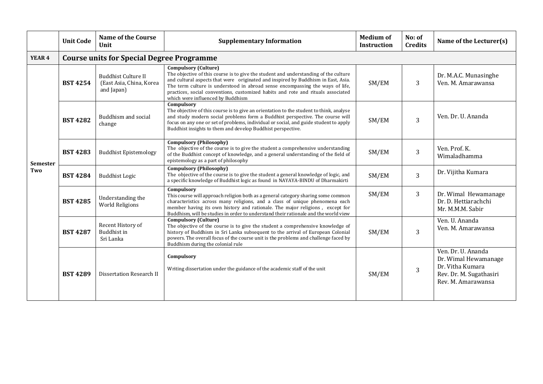|                   | <b>Unit Code</b> | <b>Name of the Course</b><br>Unit                                    | <b>Supplementary Information</b>                                                                                                                                                                                                                                                                                                                                                                                   | <b>Medium of</b><br><b>Instruction</b> | No: of<br><b>Credits</b> | Name of the Lecturer(s)                                                                                         |  |  |  |  |
|-------------------|------------------|----------------------------------------------------------------------|--------------------------------------------------------------------------------------------------------------------------------------------------------------------------------------------------------------------------------------------------------------------------------------------------------------------------------------------------------------------------------------------------------------------|----------------------------------------|--------------------------|-----------------------------------------------------------------------------------------------------------------|--|--|--|--|
| YEAR <sub>4</sub> |                  | <b>Course units for Special Degree Programme</b>                     |                                                                                                                                                                                                                                                                                                                                                                                                                    |                                        |                          |                                                                                                                 |  |  |  |  |
| Semester          | <b>BST 4254</b>  | <b>Buddhist Culture II</b><br>(East Asia, China, Korea<br>and Japan) | <b>Compulsory (Culture)</b><br>The objective of this course is to give the student and understanding of the culture<br>and cultural aspects that were originated and inspired by Buddhism in East, Asia.<br>The term culture is understood in abroad sense encompassing the ways of life,<br>practices, social conventions, customized habits and rote and rituals associated<br>which were influenced by Buddhism | SM/EM                                  | 3                        | Dr. M.A.C. Munasinghe<br>Ven. M. Amarawansa                                                                     |  |  |  |  |
|                   | <b>BST 4282</b>  | Buddhism and social<br>change                                        | Compulsory<br>The objective of this course is to give an orientation to the student to think, analyse<br>and study modern social problems form a Buddhist perspective. The course will<br>focus on any one or set of problems, individual or social, and guide student to apply<br>Buddhist insights to them and develop Buddhist perspective.                                                                     | SM/EM                                  | 3                        | Ven. Dr. U. Ananda                                                                                              |  |  |  |  |
|                   | <b>BST 4283</b>  | <b>Buddhist Epistemology</b>                                         | Compulsory (Philosophy)<br>The objective of the course is to give the student a comprehensive understanding<br>of the Buddhist concept of knowledge, and a general understanding of the field of<br>epistemology as a part of philosophy                                                                                                                                                                           | SM/EM                                  | 3                        | Ven. Prof. K.<br>Wimaladhamma                                                                                   |  |  |  |  |
| Two               | <b>BST 4284</b>  | <b>Buddhist Logic</b>                                                | <b>Compulsory (Philosophy)</b><br>The objective of the course is to give the student a general knowledge of logic, and<br>a specific knowledge of Buddhist logic as found in NAYAYA-BINDU of Dharmakirti                                                                                                                                                                                                           | SM/EM                                  | 3                        | Dr. Vijitha Kumara                                                                                              |  |  |  |  |
|                   | <b>BST 4285</b>  | Understanding the<br><b>World Religions</b>                          | Compulsory<br>This course will approach religion both as a general category sharing some common<br>characteristics across many religions, and a class of unique phenomena each<br>member having its own history and rationale. The major religions, except for<br>Buddhism, will be studies in order to understand their rationale and the world view                                                              | SM/EM                                  | 3                        | Dr. Wimal Hewamanage<br>Dr. D. Hettiarachchi<br>Mr. M.M.M. Sabir                                                |  |  |  |  |
|                   | <b>BST 4287</b>  | Recent History of<br>Buddhist in<br>Sri Lanka                        | <b>Compulsory (Culture)</b><br>The objective of the course is to give the student a comprehensive knowledge of<br>history of Buddhism in Sri Lanka subsequent to the arrival of European Colonial<br>powers. The overall focus of the course unit is the problems and challenge faced by<br>Buddhism during the colonial rule                                                                                      | SM/EM                                  | 3                        | Ven. U. Ananda<br>Ven. M. Amarawansa                                                                            |  |  |  |  |
|                   | <b>BST 4289</b>  | Dissertation Research II                                             | Compulsory<br>Writing dissertation under the guidance of the academic staff of the unit                                                                                                                                                                                                                                                                                                                            | SM/EM                                  | 3                        | Ven. Dr. U. Ananda<br>Dr. Wimal Hewamanage<br>Dr. Vitha Kumara<br>Rev. Dr. M. Sugathasiri<br>Rev. M. Amarawansa |  |  |  |  |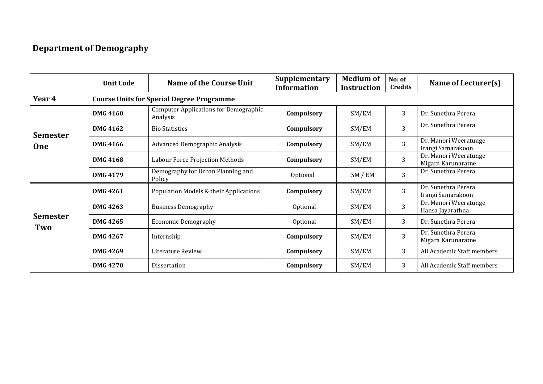#### **Department of Demography**

|                        | <b>Unit Code</b> | <b>Name of the Course Unit</b>                           | Supplementary<br><b>Information</b> | <b>Medium of</b><br><b>Instruction</b> | No: of<br><b>Credits</b> | Name of Lecturer(s)                         |
|------------------------|------------------|----------------------------------------------------------|-------------------------------------|----------------------------------------|--------------------------|---------------------------------------------|
| Year 4                 |                  | <b>Course Units for Special Degree Programme</b>         |                                     |                                        |                          |                                             |
|                        | <b>DMG 4160</b>  | <b>Computer Applications for Demographic</b><br>Analysis | Compulsory                          | SM/EM                                  | 3                        | Dr. Sunethra Perera                         |
| <b>Semester</b>        | <b>DMG 4162</b>  | <b>Bio Statistics</b>                                    | Compulsory                          | SM/EM                                  | 3                        | Dr. Sunethra Perera                         |
| <b>One</b>             | <b>DMG 4166</b>  | <b>Advanced Demographic Analysis</b>                     | Compulsory                          | SM/EM                                  | $\overline{3}$           | Dr. Manori Weeratunge<br>Irangi Samarakoon  |
|                        | <b>DMG 4168</b>  | Labour Force Projection Methods                          | Compulsory                          | SM/EM                                  | 3                        | Dr. Manori Weeratunge<br>Migara Karunaratne |
|                        | <b>DMG 4179</b>  | Demography for Urban Planning and<br>Policy              | Optional                            | SM / EM                                | 3                        | Dr. Sunethra Perera                         |
|                        | <b>DMG 4261</b>  | Population Models & their Applications                   | Compulsory                          | SM/EM                                  | 3                        | Dr. Sunethra Perera<br>Irangi Samarakoon    |
|                        | DMG 4263         | <b>Business Demography</b>                               | Optional                            | SM/EM                                  | 3                        | Dr. Manori Weeratunge<br>Hansa Jayarathna   |
| <b>Semester</b><br>Two | DMG 4265         | <b>Economic Demography</b>                               | Optional                            | SM/EM                                  | 3                        | Dr. Sunethra Perera                         |
|                        | <b>DMG 4267</b>  | Internship                                               | Compulsory                          | SM/EM                                  | $\overline{3}$           | Dr. Sunethra Perera<br>Migara Karunaratne   |
|                        | <b>DMG 4269</b>  | Literature Review                                        | Compulsory                          | SM/EM                                  | 3                        | All Academic Staff members                  |
|                        | <b>DMG 4270</b>  | Dissertation                                             | Compulsory                          | SM/EM                                  | 3                        | All Academic Staff members                  |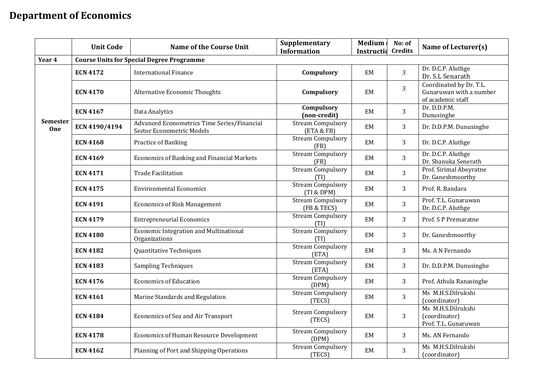### **Department of Economics**

|                        | <b>Unit Code</b> | <b>Name of the Course Unit</b>                                           | Supplementary<br><b>Information</b>     | <b>Medium</b><br>Instructio | No: of<br><b>Credits</b> | Name of Lecturer(s)                                                     |
|------------------------|------------------|--------------------------------------------------------------------------|-----------------------------------------|-----------------------------|--------------------------|-------------------------------------------------------------------------|
| Year 4                 |                  | <b>Course Units for Special Degree Programme</b>                         |                                         |                             |                          |                                                                         |
|                        | <b>ECN 4172</b>  | <b>International Finance</b>                                             | Compulsory                              | EM                          | 3                        | Dr. D.C.P. Aluthge<br>Dr. S.L Senarath                                  |
|                        | <b>ECN 4170</b>  | <b>Alternative Economic Thoughts</b>                                     | Compulsory                              | EM                          | 3                        | Coordinated by Dr. T.L.<br>Gunaruwan with a number<br>of academic staff |
|                        | <b>ECN 4167</b>  | Data Analytics                                                           | Compulsory<br>(non-credit)              | EM                          | 3                        | Dr. D.D.P.M.<br>Dunusinghe                                              |
| <b>Semester</b><br>One | ECN 4190/4194    | Advanced Econometrics Time Series/Financial<br>Sector Econometric Models | <b>Stream Compulsory</b><br>(ETA & FB)  | EM                          | 3                        | Dr. D.D.P.M. Dunusinghe                                                 |
|                        | <b>ECN 4168</b>  | Practice of Banking                                                      | Stream Compulsory<br>(FB)               | EM                          | 3                        | Dr. D.C.P. Aluthge                                                      |
|                        | <b>ECN 4169</b>  | <b>Economics of Banking and Financial Markets</b>                        | <b>Stream Compulsory</b><br>(FB)        | EM                          | 3                        | Dr. D.C.P. Aluthge<br>Dr. Shanuka Senerath                              |
|                        | <b>ECN 4171</b>  | <b>Trade Facilitation</b>                                                | <b>Stream Compulsory</b><br>(TI)        | EM                          | 3                        | Prof. Sirimal Abeyratne<br>Dr. Ganeshmoorthy                            |
|                        | <b>ECN 4175</b>  | <b>Environmental Economics</b>                                           | <b>Stream Compulsory</b><br>(TI & DPM)  | EM                          | 3                        | Prof. R. Bandara                                                        |
|                        | <b>ECN 4191</b>  | <b>Economics of Risk Management</b>                                      | <b>Stream Compulsory</b><br>(FB & TECS) | EM                          | 3                        | Prof. T.L. Gunaruwan<br>Dr. D.C.P. Aluthge                              |
|                        | <b>ECN 4179</b>  | <b>Entrepreneurial Economics</b>                                         | Stream Compulsory<br>(TI)               | EM                          | 3                        | Prof. S P Premaratne                                                    |
|                        | <b>ECN 4180</b>  | <b>Economic Integration and Multinational</b><br>Organizations           | <b>Stream Compulsory</b><br>(TI)        | EM                          | 3                        | Dr. Ganeshmoorthy                                                       |
|                        | <b>ECN 4182</b>  | Quantitative Techniques                                                  | <b>Stream Compulsory</b><br>(ETA)       | EM                          | 3                        | Ms. A N Fernando                                                        |
|                        | <b>ECN 4183</b>  | <b>Sampling Techniques</b>                                               | <b>Stream Compulsory</b><br>(ETA)       | EM                          | 3                        | Dr. D.D.P.M. Dunusinghe                                                 |
|                        | <b>ECN 4176</b>  | <b>Economics of Education</b>                                            | <b>Stream Compulsory</b><br>(DPM)       | EM                          | 3                        | Prof. Athula Ranasinghe                                                 |
|                        | <b>ECN 4161</b>  | Marine Standards and Regulation                                          | <b>Stream Compulsory</b><br>(TECS)      | EM                          | $\overline{3}$           | Ms M.H.S.Dilrukshi<br>(coordinator)                                     |
|                        | <b>ECN 4184</b>  | Economics of Sea and Air Transport                                       | <b>Stream Compulsory</b><br>(TECS)      | <b>EM</b>                   | 3                        | Ms M.H.S.Dilrukshi<br>(coordinator)<br>Prof. T.L. Gunaruwan             |
|                        | <b>ECN 4178</b>  | <b>Economics of Human Resource Development</b>                           | <b>Stream Compulsory</b><br>(DPM)       | EM                          | 3                        | Ms. AN Fernando                                                         |
|                        | <b>ECN 4162</b>  | Planning of Port and Shipping Operations                                 | <b>Stream Compulsory</b><br>(TECS)      | EM                          | 3                        | Ms M.H.S.Dilrukshi<br>(coordinator)                                     |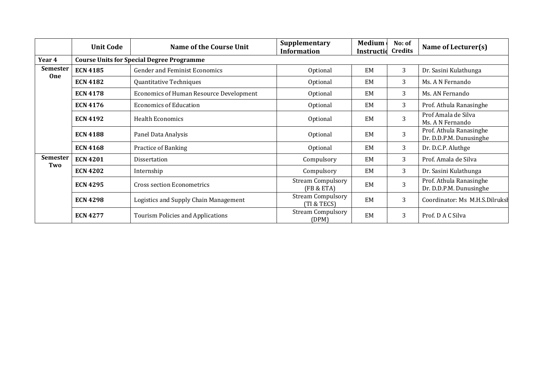|                        | <b>Unit Code</b> | <b>Name of the Course Unit</b>                   | Supplementary<br><b>Information</b>     | <b>Medium</b><br>Instructid | No: of<br><b>Credits</b> | Name of Lecturer(s)                                |
|------------------------|------------------|--------------------------------------------------|-----------------------------------------|-----------------------------|--------------------------|----------------------------------------------------|
| Year 4                 |                  | <b>Course Units for Special Degree Programme</b> |                                         |                             |                          |                                                    |
| <b>Semester</b>        | <b>ECN 4185</b>  | <b>Gender and Feminist Economics</b>             | Optional                                | EM                          | 3                        | Dr. Sasini Kulathunga                              |
| <b>One</b>             | <b>ECN 4182</b>  | Quantitative Techniques                          | Optional                                | EM                          | 3                        | Ms. A N Fernando                                   |
|                        | <b>ECN 4178</b>  | <b>Economics of Human Resource Development</b>   | Optional                                | EM                          | 3                        | Ms. AN Fernando                                    |
|                        | <b>ECN 4176</b>  | <b>Economics of Education</b>                    | Optional                                | EM                          | 3                        | Prof. Athula Ranasinghe                            |
|                        | <b>ECN 4192</b>  | <b>Health Economics</b>                          | Optional                                | EM                          | 3                        | Prof Amala de Silva<br>Ms. A N Fernando            |
|                        | <b>ECN 4188</b>  | Panel Data Analysis                              | Optional                                | EM                          | 3                        | Prof. Athula Ranasinghe<br>Dr. D.D.P.M. Dunusinghe |
|                        | <b>ECN 4168</b>  | Practice of Banking                              | Optional                                | EM                          | 3                        | Dr. D.C.P. Aluthge                                 |
| <b>Semester</b><br>Two | <b>ECN 4201</b>  | Dissertation                                     | Compulsory                              | EM                          | 3                        | Prof. Amala de Silva                               |
|                        | <b>ECN 4202</b>  | Internship                                       | Compulsory                              | EM                          | 3                        | Dr. Sasini Kulathunga                              |
|                        | <b>ECN 4295</b>  | <b>Cross section Econometrics</b>                | <b>Stream Compulsory</b><br>(FB & ETA)  | EM                          | 3                        | Prof. Athula Ranasinghe<br>Dr. D.D.P.M. Dunusinghe |
|                        | <b>ECN 4298</b>  | Logistics and Supply Chain Management            | <b>Stream Compulsory</b><br>(TI & TECS) | EM                          | 3                        | Coordinator: Ms M.H.S.Dilruksl                     |
|                        | <b>ECN 4277</b>  | Tourism Policies and Applications                | <b>Stream Compulsory</b><br>(DPM)       | <b>EM</b>                   | 3                        | Prof. D A C Silva                                  |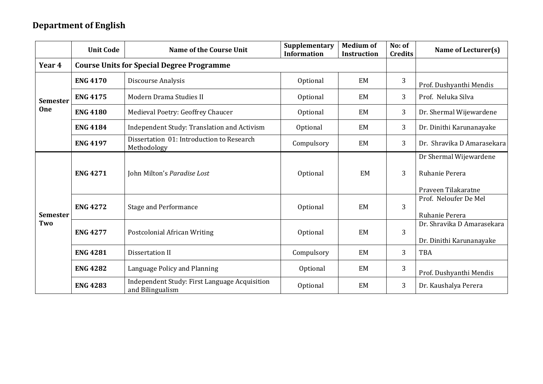#### **Department of English**

|                 | <b>Unit Code</b> | <b>Name of the Course Unit</b>                                    | Supplementary<br><b>Information</b> | <b>Medium of</b><br><b>Instruction</b> | No: of<br><b>Credits</b> | Name of Lecturer(s)                                             |
|-----------------|------------------|-------------------------------------------------------------------|-------------------------------------|----------------------------------------|--------------------------|-----------------------------------------------------------------|
| Year 4          |                  | <b>Course Units for Special Degree Programme</b>                  |                                     |                                        |                          |                                                                 |
|                 | <b>ENG 4170</b>  | Discourse Analysis                                                | Optional                            | EM                                     | 3                        | Prof. Dushyanthi Mendis                                         |
| <b>Semester</b> | <b>ENG 4175</b>  | Modern Drama Studies II                                           | Optional                            | EM                                     | 3                        | Prof. Neluka Silva                                              |
| <b>One</b>      | <b>ENG 4180</b>  | Medieval Poetry: Geoffrey Chaucer                                 | Optional                            | <b>EM</b>                              | 3                        | Dr. Shermal Wijewardene                                         |
|                 | <b>ENG 4184</b>  | Independent Study: Translation and Activism                       | Optional                            | EM                                     | 3                        | Dr. Dinithi Karunanayake                                        |
|                 | <b>ENG 4197</b>  | Dissertation 01: Introduction to Research<br>Methodology          | Compulsory                          | EM                                     | 3                        | Dr. Shravika D Amarasekara                                      |
|                 | <b>ENG 4271</b>  | John Milton's Paradise Lost                                       | Optional                            | EM                                     | 3                        | Dr Shermal Wijewardene<br>Ruhanie Perera<br>Praveen Tilakaratne |
| <b>Semester</b> | <b>ENG 4272</b>  | <b>Stage and Performance</b>                                      | Optional                            | <b>EM</b>                              | $\overline{3}$           | Prof. Neloufer De Mel<br>Ruhanie Perera                         |
| Two             | <b>ENG 4277</b>  | <b>Postcolonial African Writing</b>                               | Optional                            | EM                                     | 3                        | Dr. Shravika D Amarasekara<br>Dr. Dinithi Karunanayake          |
|                 | <b>ENG 4281</b>  | Dissertation II                                                   | Compulsory                          | EM                                     | 3                        | <b>TBA</b>                                                      |
|                 | <b>ENG 4282</b>  | Language Policy and Planning                                      | Optional                            | EM                                     | 3                        | Prof. Dushyanthi Mendis                                         |
|                 | <b>ENG 4283</b>  | Independent Study: First Language Acquisition<br>and Bilingualism | Optional                            | <b>EM</b>                              | 3                        | Dr. Kaushalya Perera                                            |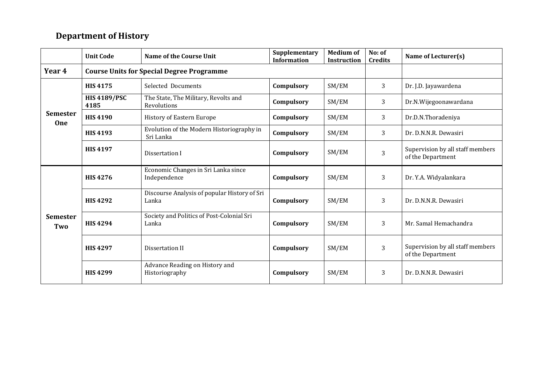#### **Department of History**

|                               | <b>Unit Code</b>            | <b>Name of the Course Unit</b>                         | Supplementary<br><b>Information</b> | <b>Medium of</b><br><b>Instruction</b> | No: of<br><b>Credits</b> | Name of Lecturer(s)                                   |
|-------------------------------|-----------------------------|--------------------------------------------------------|-------------------------------------|----------------------------------------|--------------------------|-------------------------------------------------------|
| Year 4                        |                             | <b>Course Units for Special Degree Programme</b>       |                                     |                                        |                          |                                                       |
| <b>Semester</b><br><b>One</b> | <b>HIS4175</b>              | Selected Documents                                     | Compulsory                          | SM/EM                                  | 3                        | Dr. J.D. Jayawardena                                  |
|                               | <b>HIS 4189/PSC</b><br>4185 | The State, The Military, Revolts and<br>Revolutions    | Compulsory                          | SM/EM                                  | 3                        | Dr.N.Wijegoonawardana                                 |
|                               | <b>HIS 4190</b>             | History of Eastern Europe                              | Compulsory                          | SM/EM                                  | 3                        | Dr.D.N.Thoradeniya                                    |
|                               | <b>HIS 4193</b>             | Evolution of the Modern Historiography in<br>Sri Lanka | Compulsory                          | SM/EM                                  | 3                        | Dr. D.N.N.R. Dewasiri                                 |
|                               | <b>HIS 4197</b>             | Dissertation I                                         | Compulsory                          | SM/EM                                  | 3                        | Supervision by all staff members<br>of the Department |
|                               | <b>HIS4276</b>              | Economic Changes in Sri Lanka since<br>Independence    | Compulsory                          | SM/EM                                  | 3                        | Dr. Y.A. Widyalankara                                 |
|                               | <b>HIS4292</b>              | Discourse Analysis of popular History of Sri<br>Lanka  | Compulsory                          | SM/EM                                  | 3                        | Dr. D.N.N.R. Dewasiri                                 |
| <b>Semester</b><br>Two        | <b>HIS 4294</b>             | Society and Politics of Post-Colonial Sri<br>Lanka     | Compulsory                          | SM/EM                                  | 3                        | Mr. Samal Hemachandra                                 |
|                               | <b>HIS4297</b>              | Dissertation II                                        | Compulsory                          | SM/EM                                  | 3                        | Supervision by all staff members<br>of the Department |
|                               | <b>HIS4299</b>              | Advance Reading on History and<br>Historiography       | Compulsory                          | SM/EM                                  | 3                        | Dr. D.N.N.R. Dewasiri                                 |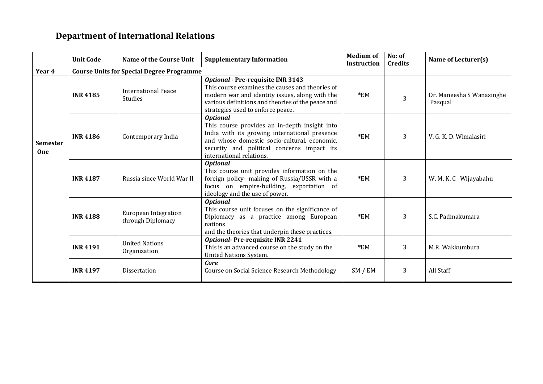#### **Department of International Relations**

|                 | <b>Unit Code</b> | Name of the Course Unit                          | <b>Supplementary Information</b>                                                                                                                                                                                                            | <b>Medium of</b><br><b>Instruction</b> | No: of<br><b>Credits</b> | Name of Lecturer(s)                  |
|-----------------|------------------|--------------------------------------------------|---------------------------------------------------------------------------------------------------------------------------------------------------------------------------------------------------------------------------------------------|----------------------------------------|--------------------------|--------------------------------------|
| Year 4          |                  | <b>Course Units for Special Degree Programme</b> |                                                                                                                                                                                                                                             |                                        |                          |                                      |
|                 | <b>INR 4185</b>  | <b>International Peace</b><br><b>Studies</b>     | <b>Optional - Pre-requisite INR 3143</b><br>This course examines the causes and theories of<br>modern war and identity issues, along with the<br>various definitions and theories of the peace and<br>strategies used to enforce peace.     | $*EM$                                  | 3                        | Dr. Maneesha S Wanasinghe<br>Pasqual |
| Semester<br>One | <b>INR 4186</b>  | Contemporary India                               | <b>Optional</b><br>This course provides an in-depth insight into<br>India with its growing international presence<br>and whose domestic socio-cultural, economic,<br>security and political concerns impact its<br>international relations. | $*EM$                                  | 3                        | V. G. K. D. Wimalasiri               |
|                 | <b>INR 4187</b>  | Russia since World War II                        | <b>Optional</b><br>This course unit provides information on the<br>foreign policy- making of Russia/USSR with a<br>focus on empire-building, exportation of<br>ideology and the use of power.                                               | $*EM$                                  | 3                        | W. M. K. C Wijayabahu                |
|                 | <b>INR4188</b>   | <b>European Integration</b><br>through Diplomacy | <b>Optional</b><br>This course unit focuses on the significance of<br>Diplomacy as a practice among European<br>nations<br>and the theories that underpin these practices.                                                                  | $*EM$                                  | 3                        | S.C. Padmakumara                     |
|                 | <b>INR 4191</b>  | <b>United Nations</b><br>Organization            | <b>Optional-Pre-requisite INR 2241</b><br>This is an advanced course on the study on the<br><b>United Nations System.</b>                                                                                                                   | $*EM$                                  | 3                        | M.R. Wakkumbura                      |
|                 | <b>INR 4197</b>  | Dissertation                                     | Core<br>Course on Social Science Research Methodology                                                                                                                                                                                       | SM / EM                                | 3                        | All Staff                            |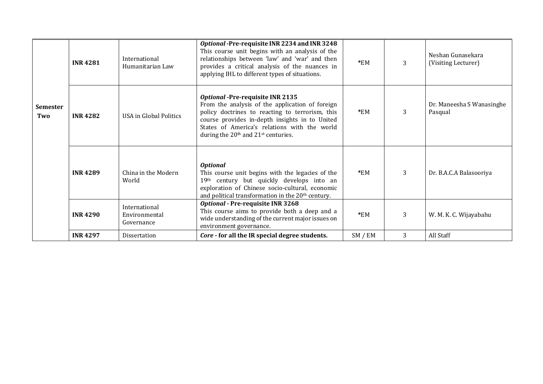|                        | <b>INR4281</b>  | International<br>Humanitarian Law            | Optional -Pre-requisite INR 2234 and INR 3248<br>This course unit begins with an analysis of the<br>relationships between 'law' and 'war' and then<br>provides a critical analysis of the nuances in<br>applying IHL to different types of situations.                                                         | $*EM$   | 3 | Neshan Gunasekara<br>(Visiting Lecturer) |
|------------------------|-----------------|----------------------------------------------|----------------------------------------------------------------------------------------------------------------------------------------------------------------------------------------------------------------------------------------------------------------------------------------------------------------|---------|---|------------------------------------------|
| <b>Semester</b><br>Two | <b>INR4282</b>  | USA in Global Politics                       | <b>Optional -Pre-requisite INR 2135</b><br>From the analysis of the application of foreign<br>policy doctrines to reacting to terrorism, this<br>course provides in-depth insights in to United<br>States of America's relations with the world<br>during the 20 <sup>th</sup> and 21 <sup>st</sup> centuries. | $*EM$   | 3 | Dr. Maneesha S Wanasinghe<br>Pasqual     |
|                        | <b>INR4289</b>  | China in the Modern<br>World                 | <b>Optional</b><br>This course unit begins with the legacies of the<br>19th century but quickly develops into an<br>exploration of Chinese socio-cultural, economic<br>and political transformation in the 20 <sup>th</sup> century.                                                                           | $*EM$   | 3 | Dr. B.A.C.A Balasooriya                  |
|                        | <b>INR4290</b>  | International<br>Environmental<br>Governance | Optional - Pre-requisite INR 3268<br>This course aims to provide both a deep and a<br>wide understanding of the current major issues on<br>environment governance.                                                                                                                                             | $*EM$   | 3 | W. M. K. C. Wijayabahu                   |
|                        | <b>INR 4297</b> | Dissertation                                 | Core - for all the IR special degree students.                                                                                                                                                                                                                                                                 | SM / EM | 3 | All Staff                                |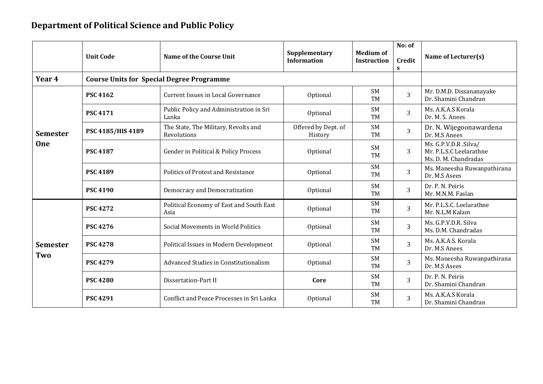#### **Department of Political Science and Public Policy**

|                 |                   |                                                     |                                     |                                        | No: of         |                                                                          |  |
|-----------------|-------------------|-----------------------------------------------------|-------------------------------------|----------------------------------------|----------------|--------------------------------------------------------------------------|--|
|                 | <b>Unit Code</b>  | <b>Name of the Course Unit</b>                      | Supplementary<br><b>Information</b> | <b>Medium of</b><br><b>Instruction</b> | Credit<br>S    | Name of Lecturer(s)                                                      |  |
| Year 4          |                   | <b>Course Units for Special Degree Programme</b>    |                                     |                                        |                |                                                                          |  |
|                 | <b>PSC 4162</b>   | Current Issues in Local Governance                  | Optional                            | <b>SM</b><br><b>TM</b>                 | 3              | Mr. D.M.D. Dissananayake<br>Dr. Shamini Chandran                         |  |
|                 | <b>PSC 4171</b>   | Public Policy and Administration in Sri<br>Lanka    | Optional                            | <b>SM</b><br><b>TM</b>                 | 3              | Ms. A.K.A.S Korala<br>Dr. M. S. Anees                                    |  |
| <b>Semester</b> | PSC 4185/HIS 4189 | The State, The Military, Revolts and<br>Revolutions | Offered by Dept. of<br>History      | <b>SM</b><br><b>TM</b>                 | $\overline{3}$ | Dr. N. Wijegoonawardena<br>Dr. M.S Anees                                 |  |
| <b>One</b>      | <b>PSC 4187</b>   | Gender in Political & Policy Process                | Optional                            | <b>SM</b><br><b>TM</b>                 | 3              | Ms. G.P.V.D.R .Silva/<br>Mr. P.L.S.C Leelarathne<br>Ms. D. M. Chandradas |  |
|                 | <b>PSC 4189</b>   | Politics of Protest and Resistance                  | Optional                            | <b>SM</b><br><b>TM</b>                 | 3              | Ms. Maneesha Ruwanpathirana<br>Dr. M.S Asees                             |  |
|                 | <b>PSC 4190</b>   | <b>Democracy and Democratization</b>                | Optional                            | <b>SM</b><br><b>TM</b>                 | 3              | Dr. P. N. Peiris<br>Mr. M.N.M. Faslan                                    |  |
|                 | <b>PSC 4272</b>   | Political Economy of East and South East<br>Asia    | Optional                            | <b>SM</b><br>TM                        | 3              | Mr. P.L.S.C. Leelarathne<br>Mr. N.L.M Kalam                              |  |
|                 | <b>PSC 4276</b>   | Social Movements in World Politics                  | Optional                            | <b>SM</b><br><b>TM</b>                 | 3              | Ms. G.P.V.D.R. Silva<br>Ms. D.M. Chandradas                              |  |
| <b>Semester</b> | <b>PSC 4278</b>   | Political Issues in Modern Development              | Optional                            | <b>SM</b><br><b>TM</b>                 | 3              | Ms. A.K.A.S. Korala<br>Dr. M.S Anees                                     |  |
| Two             | <b>PSC 4279</b>   | Advanced Studies in Constitutionalism               | Optional                            | <b>SM</b><br><b>TM</b>                 | 3              | Ms. Maneesha Ruwanpathirana<br>Dr. M.S Asees                             |  |
|                 | <b>PSC 4280</b>   | Dissertation-Part II                                | Core                                | <b>SM</b><br><b>TM</b>                 | 3              | Dr. P. N. Peiris<br>Dr. Shamini Chandran                                 |  |
|                 | <b>PSC 4291</b>   | Conflict and Peace Processes in Sri Lanka           | Optional                            | <b>SM</b><br><b>TM</b>                 | 3              | Ms. A.K.A.S Korala<br>Dr. Shamini Chandran                               |  |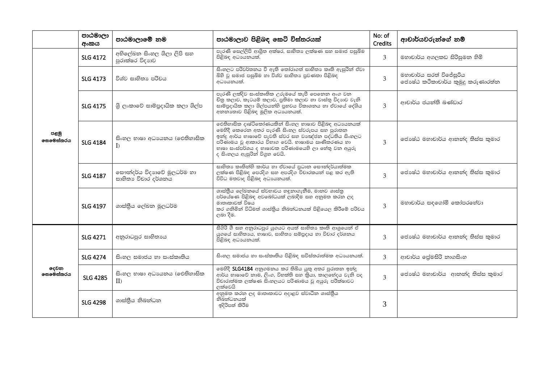|                   | පාඨමාලා<br>අංකය | පාඨමාලාමේ නම                                       | පාඨමාලාව පිළිබඳ කෙටි විස්තරයක්                                                                                                                                                                                                                                                                               | No: of<br><b>Credits</b> | ආචාර්යවරුන්ගේ නම්                                            |
|-------------------|-----------------|----------------------------------------------------|--------------------------------------------------------------------------------------------------------------------------------------------------------------------------------------------------------------------------------------------------------------------------------------------------------------|--------------------------|--------------------------------------------------------------|
|                   | <b>SLG 4172</b> | අභිලේඛන සිංහල ශිලා ලිපි සහ<br>පුරාක්ෂර විදාහව      | පැරණි සෙල්ලිපි ආශිුත අක්ෂර, සාහිතා ලක්ෂණ සහ සමාජ පසුබිම<br>පිළිබඳ අධායනයක්.                                                                                                                                                                                                                                  | 3                        | මහාචාර්ය අගලකඩ සිරිසුමන හිමි                                 |
| පළමු<br>෧සමෙස්තරය | <b>SLG 4173</b> | විශ්ව සාහිතා පරිචය                                 | සිංහලට පරිවර්තනය වී ඇති තෝරාගත් සාහිතා කෘති ඇසුරින් ඒවා<br>බිහි වූ සමාජ පසුබිම හා විශ්ව සාහිතා පුවණතා පිළිබඳ<br>අධායනයක්.                                                                                                                                                                                    | 3                        | මහාචාර්ය සරත් විජේසුරිය<br>ජොෂ්ඨ කථිකාචාර්ය කුමුදු කරුණාරත්න |
|                   | <b>SLG 4175</b> | ශි ලංකාවේ සාම්පුදායික කලා ශිල්ප                    | පැරණි ලක්දිව සංස්කෘතික උරුමයේ කැපී පෙනෙන අංග වන<br>චිතු කලාව, කැටයම් කලාව, පුතිමා කලාව හා වාස්තු විදහාව වැනි<br>සාම්පුදායික කලා ශිල්පයන්හි පුභවය විකාශනය හා ඒවායේ දේශිය<br>අනනාහාව පිළිබඳ මූලික අධායනයක්.                                                                                                    | 3                        | ආචාර්ය ජයන්ති බණ්ඩාර                                         |
|                   | <b>SLG 4184</b> | සිංහල භාෂා අධාපයනය (ඓතිහාසික<br>$\Gamma$           | ඓතිහාසික දෘෂ්ටිකෝණයකින් සිංහල භාෂාව පිළිබඳ අධායනයක්<br>මෙහිදී කෙරෙන අතර පැරණි සිංහල ස්වරුපය සහ පුරාතන<br>ඉන්දු ආර්ය භාෂාවේ පැවති ස්වර සහ වාඤ්ජන පද්ධතිය සිංහලට<br>.<br>පරිණාමය වූ ආකාරය විභාග වෙයි. භාෂාමය ඍණිකරණය හා<br>භාෂා සංස්පර්ශය ද භාෂාවක පරිණාමයෙහි ලා හේතු වන අයුරු<br>ද සිංහලය ඇසුරින් විගුහ වෙයි. | 3                        | ජොෂ්ඨ මහාචාර්ය ආනන්ද තිස්ස කුමාර                             |
|                   | SLG 4187        | සෞන්දර්ය විදාහවේ මූලධර්ම හා<br>සාහිතා විචාර දර්ශනය | සාහිතා කෘතින්හි කාර්ය හා ඒවායේ පුධාන සෞන්දර්යාත්මක<br>ලක්ෂණ පිළිබඳ පෙරදිග සහ අපරදිග විචාරකයන් පළ කර ඇති<br>විවිධ මතවාද පිළිබඳ අධාපයනයක්.                                                                                                                                                                     | 3                        | ජොෂ්ඨ මහාචාර්ය ආනන්ද තිස්ස කුමාර                             |
|                   | <b>SLG 4197</b> | ශාස්තීය ලේඛන මූලධර්ම                               | ශාස්තිිය ලේඛනයේ ස්වභාවය හඳුනාගැනීම, මානව ශාස්තු<br>පර්යේෂණ පිළිබඳ අවබෝධයක් ලබාදීම සහ අනුමත කරන ලද<br>මාතෘකාවක් විෂය<br>කර ගනිමින් විධිමත් ශාස්තිුය නිබන්ධනයක් පිළියෙල කිරීමේ පරිචය<br>ලබා දීම.                                                                                                               | 3                        | මහාචාර්ය සඳගෝමි කෝපරහේවා                                     |
|                   | <b>SLG 4271</b> | අනුරාධපුර සාහිතාය                                  | සීගිරි ගී සහ අනුරාධපුර යුගයට අයත් සාහිතා කෘති ආශුයෙන් ඒ<br>යුගයේ සාහිතායෙ, භාෂාව, සාහිතා සම්පුදාය හා විචාර දර්ශනය<br>.<br>පිළිබඳ අධායනයක්.                                                                                                                                                                   | 3                        | ජොෂ්ඨ මහාචාර්ය ආනන්ද තිස්ස කුමාර                             |
|                   | <b>SLG 4274</b> | සිංහල සමාජය හා සංස්කෘතිය                           | සිංහල සමාජය හා සංස්කෘතිය පිළිබඳ සවිස්තරාත්මක අධාපයනයක්.                                                                                                                                                                                                                                                      | 3                        | ආචාර්ය ලේමසිරි නාගසිංහ                                       |
| දෙවන<br>෧සමෙස්තරය | <b>SLG 4285</b> | සිංහල භාෂා අධාපයනය (ඓතිහාසික<br>II                 | මෙහිදී SLG4184 අනුගමනය කර තිබිය යුතු අතර පුරාතන ඉන්දු<br>ආර්ය භාෂාවේ නාම, ලිංග, විභක්ති සහ කියා, කාලගේදය වැනි පද<br>විචාරාත්මක ලක්ෂණ සිංහලයට පරිණාමය වූ අයුරු පරීක්ෂාවට<br>ලක්වෙයි                                                                                                                           | $\mathcal{L}$            | ජොෂ්ඨ මහාචාර්ය  ආනන්ද තිස්ස කුමාර                            |
|                   | <b>SLG 4298</b> | ශාස්තීය නිබන්ධන                                    | අනුමත කරන ලද මාතෘකාවට අදාළව ස්වාධීන ශාස්තීය<br>නිබින්ධනයක්<br>ඉදිරිපත් කිරීම                                                                                                                                                                                                                                 | 3                        |                                                              |